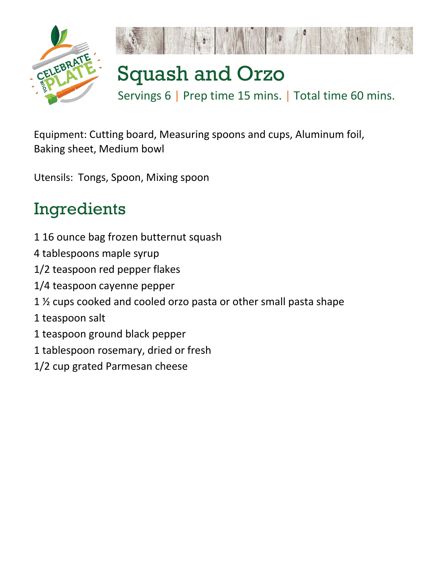

Equipment: Cutting board, Measuring spoons and cups, Aluminum foil, Baking sheet, Medium bowl

Utensils: Tongs, Spoon, Mixing spoon

## Ingredients

- 1 16 ounce bag frozen butternut squash
- 4 tablespoons maple syrup
- 1/2 teaspoon red pepper flakes
- 1/4 teaspoon cayenne pepper
- 1 ½ cups cooked and cooled orzo pasta or other small pasta shape
- 1 teaspoon salt
- 1 teaspoon ground black pepper
- 1 tablespoon rosemary, dried or fresh
- 1/2 cup grated Parmesan cheese